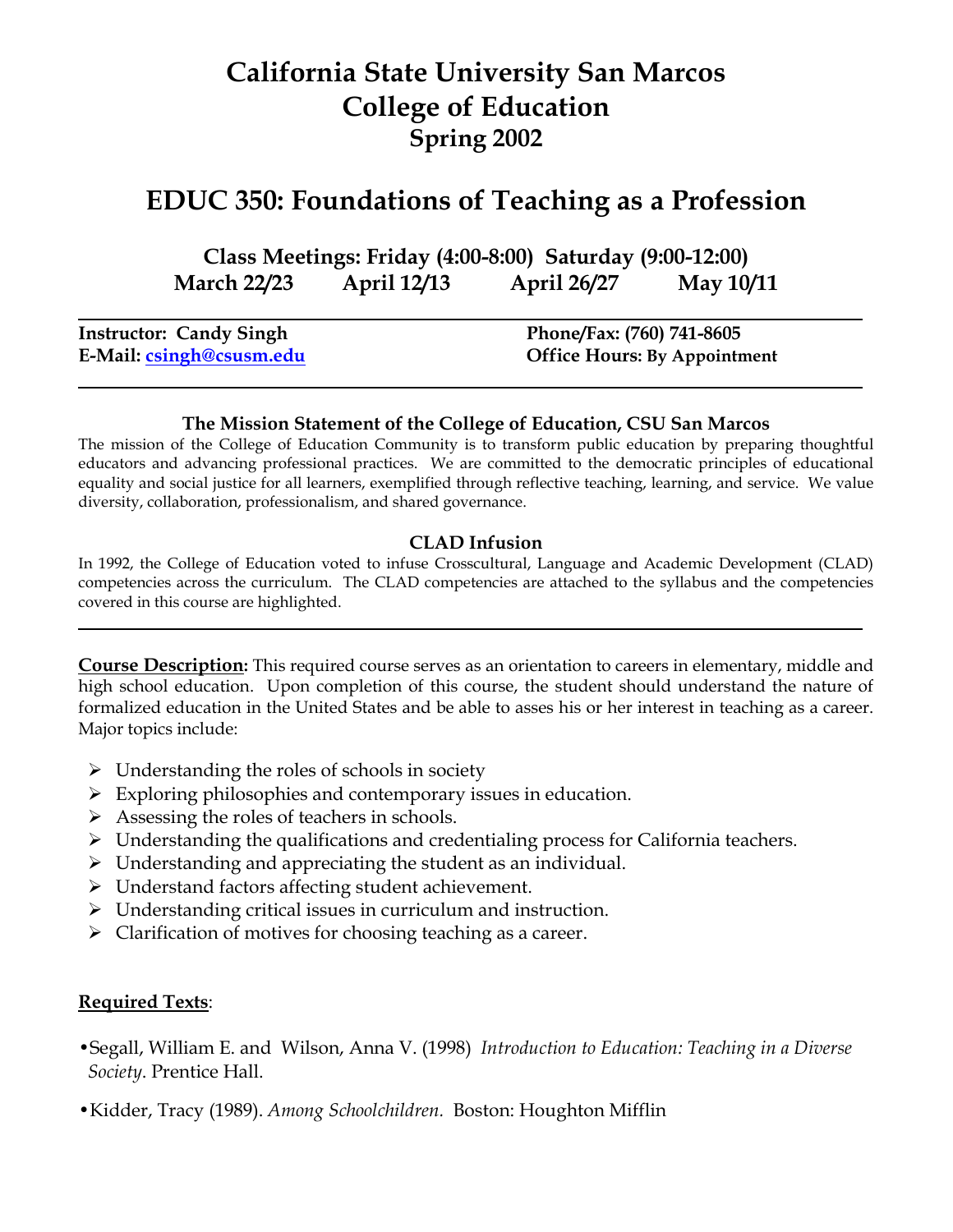# **California State University San Marcos College of Education Spring 2002**

# **EDUC 350: Foundations of Teaching as a Profession**

**Class Meetings: Friday (4:00-8:00) Saturday (9:00-12:00) March 22/23 April 12/13 April 26/27 May 10/11**

| <b>Instructor: Candy Singh</b> | Phone/Fax: (760) 741-8605           |
|--------------------------------|-------------------------------------|
| E-Mail: csingh@csusm.edu       | <b>Office Hours: By Appointment</b> |

#### **The Mission Statement of the College of Education, CSU San Marcos**

The mission of the College of Education Community is to transform public education by preparing thoughtful educators and advancing professional practices. We are committed to the democratic principles of educational equality and social justice for all learners, exemplified through reflective teaching, learning, and service. We value diversity, collaboration, professionalism, and shared governance.

#### **CLAD Infusion**

In 1992, the College of Education voted to infuse Crosscultural, Language and Academic Development (CLAD) competencies across the curriculum. The CLAD competencies are attached to the syllabus and the competencies covered in this course are highlighted.

**Course Description:** This required course serves as an orientation to careers in elementary, middle and high school education. Upon completion of this course, the student should understand the nature of formalized education in the United States and be able to asses his or her interest in teaching as a career. Major topics include:

- $\triangleright$  Understanding the roles of schools in society
- $\triangleright$  Exploring philosophies and contemporary issues in education.
- $\triangleright$  Assessing the roles of teachers in schools.
- Understanding the qualifications and credentialing process for California teachers.
- $\triangleright$  Understanding and appreciating the student as an individual.
- Understand factors affecting student achievement.
- Understanding critical issues in curriculum and instruction.
- $\triangleright$  Clarification of motives for choosing teaching as a career.

#### **Required Texts**:

- •Segall, William E. and Wilson, Anna V. (1998) *Introduction to Education: Teaching in a Diverse Society*. Prentice Hall.
- •Kidder, Tracy (1989). *Among Schoolchildren.* Boston: Houghton Mifflin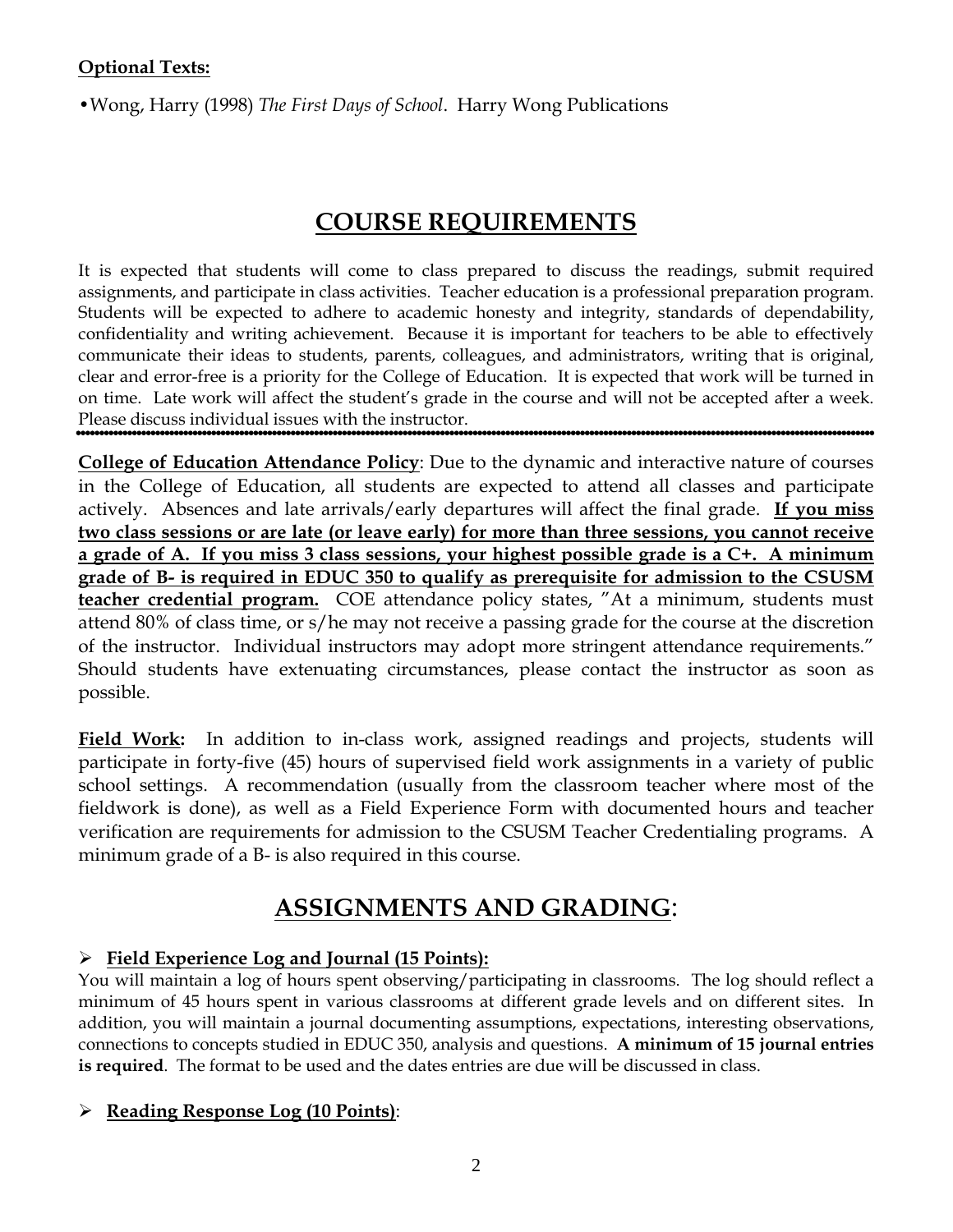•Wong, Harry (1998) *The First Days of School*. Harry Wong Publications

## **COURSE REQUIREMENTS**

It is expected that students will come to class prepared to discuss the readings, submit required assignments, and participate in class activities. Teacher education is a professional preparation program. Students will be expected to adhere to academic honesty and integrity, standards of dependability, confidentiality and writing achievement. Because it is important for teachers to be able to effectively communicate their ideas to students, parents, colleagues, and administrators, writing that is original, clear and error-free is a priority for the College of Education. It is expected that work will be turned in on time. Late work will affect the student's grade in the course and will not be accepted after a week. Please discuss individual issues with the instructor.

**College of Education Attendance Policy**: Due to the dynamic and interactive nature of courses in the College of Education, all students are expected to attend all classes and participate actively. Absences and late arrivals/early departures will affect the final grade. **If you miss two class sessions or are late (or leave early) for more than three sessions, you cannot receive a grade of A. If you miss 3 class sessions, your highest possible grade is a C+. A minimum grade of B- is required in EDUC 350 to qualify as prerequisite for admission to the CSUSM teacher credential program.** COE attendance policy states, "At a minimum, students must attend 80% of class time, or s/he may not receive a passing grade for the course at the discretion of the instructor. Individual instructors may adopt more stringent attendance requirements." Should students have extenuating circumstances, please contact the instructor as soon as possible.

Field Work: In addition to in-class work, assigned readings and projects, students will participate in forty-five (45) hours of supervised field work assignments in a variety of public school settings. A recommendation (usually from the classroom teacher where most of the fieldwork is done), as well as a Field Experience Form with documented hours and teacher verification are requirements for admission to the CSUSM Teacher Credentialing programs. A minimum grade of a B- is also required in this course.

# **ASSIGNMENTS AND GRADING**:

## **Field Experience Log and Journal (15 Points):**

You will maintain a log of hours spent observing/participating in classrooms. The log should reflect a minimum of 45 hours spent in various classrooms at different grade levels and on different sites. In addition, you will maintain a journal documenting assumptions, expectations, interesting observations, connections to concepts studied in EDUC 350, analysis and questions. **A minimum of 15 journal entries is required**. The format to be used and the dates entries are due will be discussed in class.

## **Reading Response Log (10 Points)**: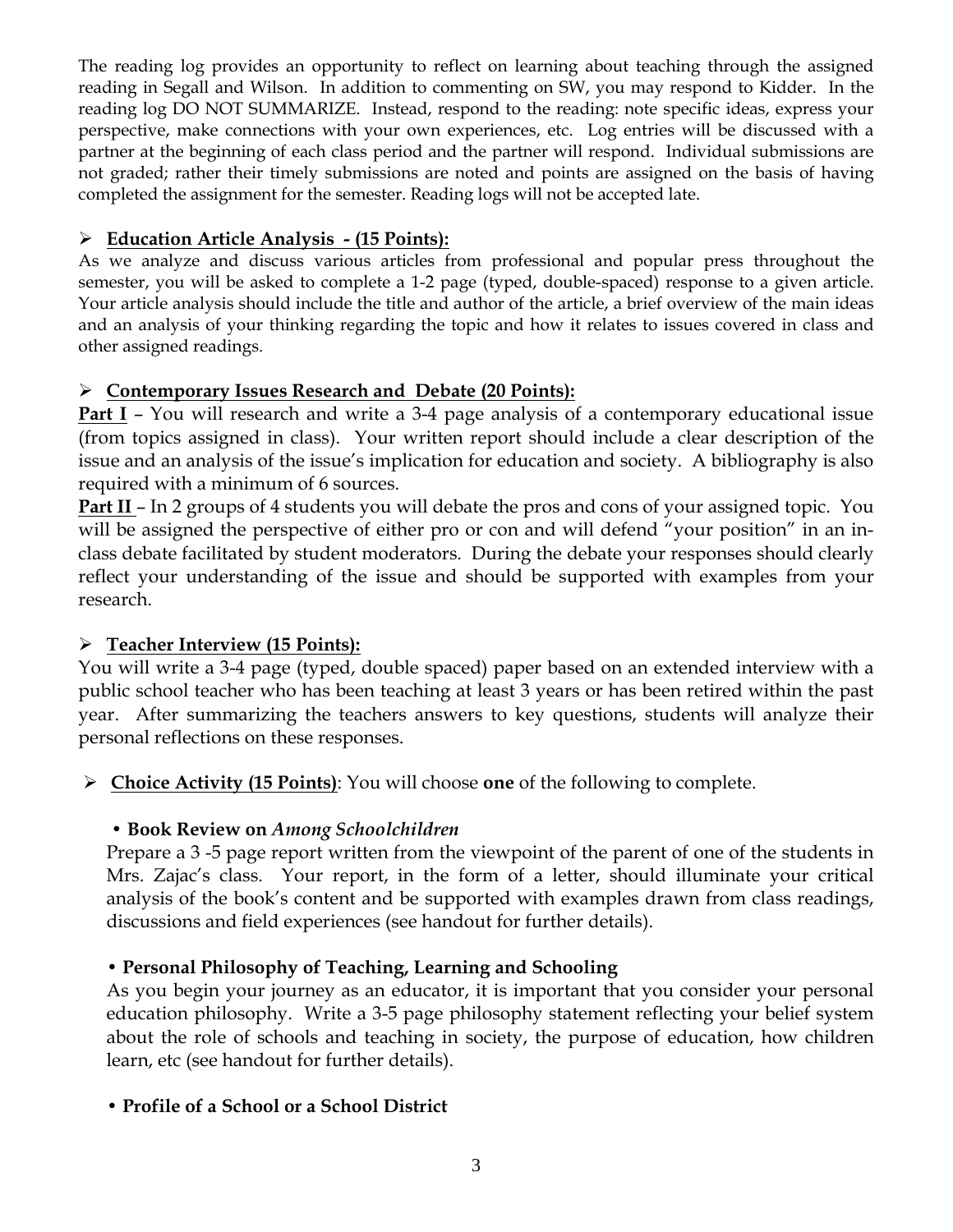The reading log provides an opportunity to reflect on learning about teaching through the assigned reading in Segall and Wilson. In addition to commenting on SW, you may respond to Kidder. In the reading log DO NOT SUMMARIZE. Instead, respond to the reading: note specific ideas, express your perspective, make connections with your own experiences, etc. Log entries will be discussed with a partner at the beginning of each class period and the partner will respond. Individual submissions are not graded; rather their timely submissions are noted and points are assigned on the basis of having completed the assignment for the semester. Reading logs will not be accepted late.

#### **Education Article Analysis - (15 Points):**

As we analyze and discuss various articles from professional and popular press throughout the semester, you will be asked to complete a 1-2 page (typed, double-spaced) response to a given article. Your article analysis should include the title and author of the article, a brief overview of the main ideas and an analysis of your thinking regarding the topic and how it relates to issues covered in class and other assigned readings.

#### **Contemporary Issues Research and Debate (20 Points):**

**Part I** – You will research and write a 3-4 page analysis of a contemporary educational issue (from topics assigned in class). Your written report should include a clear description of the issue and an analysis of the issue's implication for education and society. A bibliography is also required with a minimum of 6 sources.

**Part II** – In 2 groups of 4 students you will debate the pros and cons of your assigned topic. You will be assigned the perspective of either pro or con and will defend "your position" in an inclass debate facilitated by student moderators. During the debate your responses should clearly reflect your understanding of the issue and should be supported with examples from your research.

### **Teacher Interview (15 Points):**

You will write a 3-4 page (typed, double spaced) paper based on an extended interview with a public school teacher who has been teaching at least 3 years or has been retired within the past year. After summarizing the teachers answers to key questions, students will analyze their personal reflections on these responses.

**Choice Activity (15 Points)**: You will choose **one** of the following to complete.

### **• Book Review on** *Among Schoolchildren*

Prepare a 3 -5 page report written from the viewpoint of the parent of one of the students in Mrs. Zajac's class. Your report, in the form of a letter, should illuminate your critical analysis of the book's content and be supported with examples drawn from class readings, discussions and field experiences (see handout for further details).

### **• Personal Philosophy of Teaching, Learning and Schooling**

As you begin your journey as an educator, it is important that you consider your personal education philosophy. Write a 3-5 page philosophy statement reflecting your belief system about the role of schools and teaching in society, the purpose of education, how children learn, etc (see handout for further details).

#### **• Profile of a School or a School District**